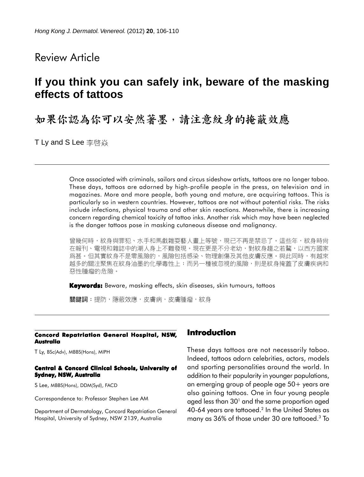## Review Article

# **If you think you can safely ink, beware of the masking effects of tattoos**

如果你認為你可以安然著墨,請注意紋身的掩蔽效應

T Ly and S Lee 李啓焱

Once associated with criminals, sailors and circus sideshow artists, tattoos are no longer taboo. These days, tattoos are adorned by high-profile people in the press, on television and in magazines. More and more people, both young and mature, are acquiring tattoos. This is particularly so in western countries. However, tattoos are not without potential risks. The risks include infections, physical trauma and other skin reactions. Meanwhile, there is increasing concern regarding chemical toxicity of tattoo inks. Another risk which may have been neglected is the danger tattoos pose in masking cutaneous disease and malignancy.

曾幾何時,紋身與罪犯、水手和馬戲雜耍藝人畫上等號,現已不再是禁忌了。這些年,紋身時尚 在報刊、電視和雜誌中的潮人身上不難發現。現在更是不分老幼,對紋身趨之若鶩,以西方國家 爲甚。但其實紋身不是零風險的,風險包括感染、物理創傷及其他皮膚反應。與此同時,有越來 越多的關注聚焦在紋身油墨的化學毒性上;而另一種被忽視的風險,則是紋身掩蓋了皮膚疾病和 惡性腫瘤的危險。

**Keywords:** Beware, masking effects, skin diseases, skin tumours, tattoos

關鍵詞:提防,隱蔽效應,皮膚病,皮膚腫瘤,紋身

#### **Concord Repatriation General Hospital, NSW, Australia**

T Ly, BSc(Adv), MBBS(Hons), MIPH

#### **Central & Concord Clinical Schools, University of Sydney, NSW, Australia**

S Lee, MBBS(Hons), DDM(Syd), FACD

Correspondence to: Professor Stephen Lee AM

Department of Dermatology, Concord Repatriation General Hospital, University of Sydney, NSW 2139, Australia

#### **Introduction**

These days tattoos are not necessarily taboo. Indeed, tattoos adorn celebrities, actors, models and sporting personalities around the world. In addition to their popularity in younger populations, an emerging group of people age 50+ years are also gaining tattoos. One in four young people aged less than  $30<sup>1</sup>$  and the same proportion aged 40-64 years are tattooed.<sup>2</sup> In the United States as many as 36% of those under 30 are tattooed.3 To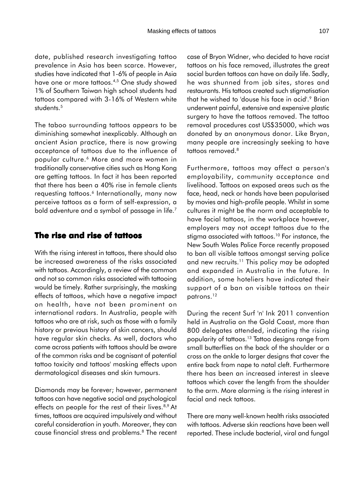date, published research investigating tattoo prevalence in Asia has been scarce. However, studies have indicated that 1-6% of people in Asia have one or more tattoos.4,5 One study showed 1% of Southern Taiwan high school students had tattoos compared with 3-16% of Western white students.<sup>5</sup>

The taboo surrounding tattoos appears to be diminishing somewhat inexplicably. Although an ancient Asian practice, there is now growing acceptance of tattoos due to the influence of popular culture.6 More and more women in traditionally conservative cities such as Hong Kong are getting tattoos. In fact it has been reported that there has been a 40% rise in female clients requesting tattoos.<sup>6</sup> Internationally, many now perceive tattoos as a form of self-expression, a bold adventure and a symbol of passage in life.<sup>7</sup>

#### **The rise and rise of tattoos**

With the rising interest in tattoos, there should also be increased awareness of the risks associated with tattoos. Accordingly, a review of the common and not so common risks associated with tattooing would be timely. Rather surprisingly, the masking effects of tattoos, which have a negative impact on health, have not been prominent on international radars. In Australia, people with tattoos who are at risk, such as those with a family history or previous history of skin cancers, should have regular skin checks. As well, doctors who come across patients with tattoos should be aware of the common risks and be cognisant of potential tattoo toxicity and tattoos' masking effects upon dermatological diseases and skin tumours.

Diamonds may be forever; however, permanent tattoos can have negative social and psychological effects on people for the rest of their lives.<sup>8,9</sup> At times, tattoos are acquired impulsively and without careful consideration in youth. Moreover, they can cause financial stress and problems.8 The recent case of Bryon Widner, who decided to have racist tattoos on his face removed, illustrates the great social burden tattoos can have on daily life. Sadly, he was shunned from job sites, stores and restaurants. His tattoos created such stigmatisation that he wished to 'douse his face in acid'.<sup>9</sup> Brian underwent painful, extensive and expensive plastic surgery to have the tattoos removed. The tattoo removal procedures cost US\$35000, which was donated by an anonymous donor. Like Bryan, many people are increasingly seeking to have tattoos removed.8

Furthermore, tattoos may affect a person's employability, community acceptance and livelihood. Tattoos on exposed areas such as the face, head, neck or hands have been popularised by movies and high-profile people. Whilst in some cultures it might be the norm and acceptable to have facial tattoos, in the workplace however, employers may not accept tattoos due to the stigma associated with tattoos.<sup>10</sup> For instance, the New South Wales Police Force recently proposed to ban all visible tattoos amongst serving police and new recruits.<sup>11</sup> This policy may be adopted and expanded in Australia in the future. In addition, some hoteliers have indicated their support of a ban on visible tattoos on their patrons.12

During the recent Surf 'n' Ink 2011 convention held in Australia on the Gold Coast, more than 800 delegates attended, indicating the rising popularity of tattoos.13 Tattoo designs range from small butterflies on the back of the shoulder or a cross on the ankle to larger designs that cover the entire back from nape to natal cleft. Furthermore there has been an increased interest in sleeve tattoos which cover the length from the shoulder to the arm. More alarming is the rising interest in facial and neck tattoos.

There are many well-known health risks associated with tattoos. Adverse skin reactions have been well reported. These include bacterial, viral and fungal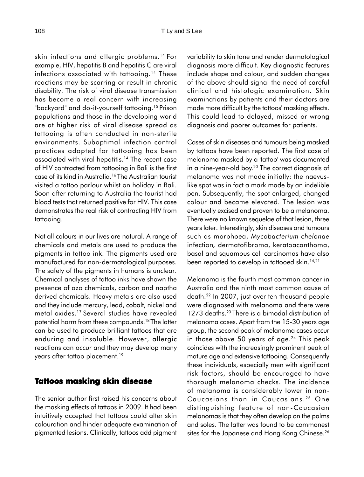skin infections and allergic problems.<sup>14</sup> For example, HIV, hepatitis B and hepatitis C are viral infections associated with tattooing.<sup>14</sup> These reactions may be scarring or result in chronic disability. The risk of viral disease transmission has become a real concern with increasing "backyard" and do-it-yourself tattooing.15 Prison populations and those in the developing world are at higher risk of viral disease spread as tattooing is often conducted in non-sterile environments. Suboptimal infection control practices adopted for tattooing has been associated with viral hepatitis.<sup>14</sup> The recent case of HIV contracted from tattooing in Bali is the first case of its kind in Australia.16 The Australian tourist visited a tattoo parlour whilst on holiday in Bali. Soon after returning to Australia the tourist had blood tests that returned positive for HIV. This case demonstrates the real risk of contracting HIV from tattooing.

Not all colours in our lives are natural. A range of chemicals and metals are used to produce the pigments in tattoo ink. The pigments used are manufactured for non-dermatological purposes. The safety of the pigments in humans is unclear. Chemical analyses of tattoo inks have shown the presence of azo chemicals, carbon and naptha derived chemicals. Heavy metals are also used and they include mercury, lead, cobalt, nickel and metal oxides.17 Several studies have revealed potential harm from these compounds.<sup>18</sup> The latter can be used to produce brilliant tattoos that are enduring and insoluble. However, allergic reactions can occur and they may develop many years after tattoo placement.<sup>19</sup>

#### **Tattoos masking skin disease**

The senior author first raised his concerns about the masking effects of tattoos in 2009. It had been intuitively accepted that tattoos could alter skin colouration and hinder adequate examination of pigmented lesions. Clinically, tattoos add pigment variability to skin tone and render dermatological diagnosis more difficult. Key diagnostic features include shape and colour, and sudden changes of the above should signal the need of careful clinical and histologic examination. Skin examinations by patients and their doctors are made more difficult by the tattoos' masking effects. This could lead to delayed, missed or wrong diagnosis and poorer outcomes for patients.

Cases of skin diseases and tumours being masked by tattoos have been reported. The first case of melanoma masked by a 'tattoo' was documented in a nine-year-old boy.<sup>20</sup> The correct diagnosis of melanoma was not made initially: the naevuslike spot was in fact a mark made by an indelible pen. Subsequently, the spot enlarged, changed colour and became elevated. The lesion was eventually excised and proven to be a melanoma. There were no known sequelae of that lesion, three years later. Interestingly, skin diseases and tumours such as morphoea, *Mycobacterium chelonae* infection*,* dermatofibroma, keratoacanthoma, basal and squamous cell carcinomas have also been reported to develop in tattooed skin.<sup>14,21</sup>

Melanoma is the fourth most common cancer in Australia and the ninth most common cause of death.22 In 2007, just over ten thousand people were diagnosed with melanoma and there were 1273 deaths.<sup>23</sup> There is a bimodal distribution of melanoma cases. Apart from the 15-30 years age group, the second peak of melanoma cases occur in those above 50 years of age. $24$  This peak coincides with the increasingly prominent peak of mature age and extensive tattooing. Consequently these individuals, especially men with significant risk factors, should be encouraged to have thorough melanoma checks. The incidence of melanoma is considerably lower in non-Caucasians than in Caucasians. 25 One distinguishing feature of non-Caucasian melanomas is that they often develop on the palms and soles. The latter was found to be commonest sites for the Japanese and Hong Kong Chinese.<sup>26</sup>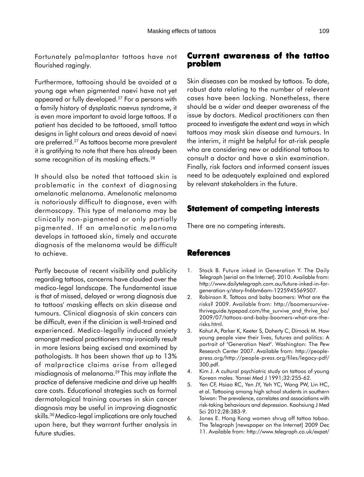Fortunately palmoplantar tattoos have not flourished ragingly.

Furthermore, tattooing should be avoided at a young age when pigmented naevi have not yet appeared or fully developed.27 For a persons with a family history of dysplastic naevus syndrome, it is even more important to avoid large tattoos. If a patient has decided to be tattooed, small tattoo designs in light colours and areas devoid of naevi are preferred.27 As tattoos become more prevalent it is gratifying to note that there has already been some recognition of its masking effects.<sup>28</sup>

It should also be noted that tattooed skin is problematic in the context of diagnosing amelanotic melanoma. Amelanotic melanoma is notoriously difficult to diagnose, even with dermoscopy. This type of melanoma may be clinically non-pigmented or only partially pigmented. If an amelanotic melanoma develops in tattooed skin, timely and accurate diagnosis of the melanoma would be difficult to achieve.

Partly because of recent visibility and publicity regarding tattoos, concerns have clouded over the medico-legal landscape. The fundamental issue is that of missed, delayed or wrong diagnosis due to tattoos' masking effects on skin disease and tumours. Clinical diagnosis of skin cancers can be difficult, even if the clinician is well-trained and experienced. Medico-legally induced anxiety amongst medical practitioners may ironically result in more lesions being excised and examined by pathologists. It has been shown that up to 13% of malpractice claims arise from alleged misdiagnosis of melanoma.29 This may inflate the practice of defensive medicine and drive up health care costs. Educational strategies such as formal dermatological training courses in skin cancer diagnosis may be useful in improving diagnostic skills.30 Medico-legal implications are only touched upon here, but they warrant further analysis in future studies.

## **Current awareness of the tattoo problem**

Skin diseases can be masked by tattoos. To date, robust data relating to the number of relevant cases have been lacking. Nonetheless, there should be a wider and deeper awareness of the issue by doctors. Medical practitioners can then proceed to investigate the extent and ways in which tattoos may mask skin disease and tumours. In the interim, it might be helpful for at-risk people who are considering new or additional tattoos to consult a doctor and have a skin examination. Finally, risk factors and informed consent issues need to be adequately explained and explored by relevant stakeholders in the future.

## **Statement of competing interests**

There are no competing interests.

### **References**

- 1. Stack B. Future inked in Generation Y. The Daily Telegraph [serial on the Internet]. 2010. Available from: http://www.dailytelegraph.com.au/future-inked-in-forgeneration-y/story-fn6bm6am-1225945569507.
- 2. Robinson R. Tattoos and baby boomers: What are the risks? 2009. Available from: http://boomersurvivethriveguide.typepad.com/the\_survive\_and\_thrive\_bo/ 2009/07/tattoos-and-baby-boomers-what-are-therisks.html.
- 3. Kohut A, Parker K, Keeter S, Doherty C, Dimock M. How young people view their lives, futures and politics: A portrait of "Generation Next". Washington: The Pew Research Center 2007. Available from: http://peoplepress.org/http://people-press.org/files/legacy-pdf/ 300.pdf.
- 4. Kim J. A cultural psychiatric study on tattoos of young Korean males. Yonsei Med J 1991;32:255-62.
- 5. Yen CF, Hsiao RC, Yen JY, Yeh YC, Wang PW, Lin HC, et al. Tattooing among high school students in southern Taiwan: The prevalence, correlates and associations with risk-taking behaviours and depression. Kaohsiung J Med Sci 2012;28:383-9.
- 6. Jones E. Hong Kong women shrug off tattoo taboo. The Telegraph [newspaper on the Internet] 2009 Dec 11. Available from: http://www.telegraph.co.uk/expat/